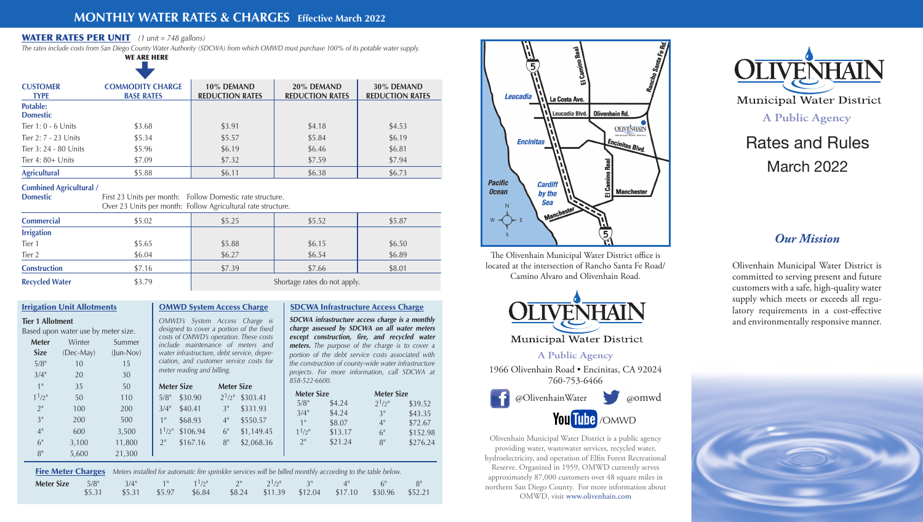Olivenhain Municipal Water District is a public agency providing water, wastewater services, recycled water, hydroelectricity, and operation of Elfin Forest Recreational Reserve. Organized in 1959, OMWD currently serves approximately 87,000 customers over 48 square miles in northern San Diego County. For more information about OMWD, visit www.olivenhain.com

@OlivenhainWater @omwd You Tube /OMWD



**Municipal Water District** 

**A Public Agency**

1966 Olivenhain Road • Encinitas, CA 92024 760-753-6466

The Olivenhain Municipal Water District office is located at the intersection of Rancho Santa Fe Road/ Camino Alvaro and Olivenhain Road.



**Municipal Water District** 

# Rates and Rules March 2022

## **MONTHLY WATER RATES & CHARGES Effective March 2022**

## WATER RATES PER UNIT*(1 unit = 748 gallons)*

*The rates include costs from San Diego County Water Authority (SDCWA) from which OMWD must purchase 100% of its potable water supply.*

**Domestic First 23 Units per month: Follow Domestic rate structure.** Over 23 Units per month:Follow Agricultural rate structure. **A Public Agency**

| <b>Tier 1 Allotment</b>             |
|-------------------------------------|
|                                     |
| Based upon water use by meter size. |

| <b>CUSTOMER</b><br><b>TYPE</b>     | <b>COMMODITY CHARGE</b><br><b>BASE RATES</b> | 10% DEMAND<br><b>REDUCTION RATES</b> | 20% DEMAND<br><b>REDUCTION RATES</b> | 30% DEMAND<br><b>REDUCTION RATES</b> |
|------------------------------------|----------------------------------------------|--------------------------------------|--------------------------------------|--------------------------------------|
| <b>Potable:</b><br><b>Domestic</b> |                                              |                                      |                                      |                                      |
| Tier $1:0 - 6$ Units               | \$3.68                                       | \$3.91                               | \$4.18                               | \$4.53                               |
| Tier 2: 7 - 23 Units               | \$5.34                                       | \$5.57                               | \$5.84                               | \$6.19                               |
| Tier 3: 24 - 80 Units              | \$5.96                                       | \$6.19                               | \$6.46                               | \$6.81                               |
| Tier 4: 80+ Units                  | \$7.09                                       | \$7.32                               | \$7.59                               | \$7.94                               |
| <b>Agricultural</b>                | \$5.88                                       | \$6.11                               | \$6.38                               | \$6.73                               |

**Meter** Winter Summer **Size** (Dec-May) (Jun-Nov) 5/8" 10 15  $3/4''$  20 30  $1^{\circ}$  35 50  $1^{1/2^{n}}$  50 110 2" 100 200 3" 200 500 4" 600 3,500 6" 3,100 11,800 8" 5,600 21,300

## Irrigation Unit Allotments | OMWD System Access Charge

### **Combined Agricultural /**

| <b>Commercial</b>     | \$5.02 | \$5.25                       | \$5.52 | \$5.87 |  |
|-----------------------|--------|------------------------------|--------|--------|--|
| <b>Irrigation</b>     |        |                              |        |        |  |
| Tier 1                | \$5.65 | \$5.88                       | \$6.15 | \$6.50 |  |
| Tier 2                | \$6.04 | \$6.27                       | \$6.54 | \$6.89 |  |
| <b>Construction</b>   | \$7.16 | \$7.39                       | \$7.66 | \$8.01 |  |
| <b>Recycled Water</b> | \$3.79 | Shortage rates do not apply. |        |        |  |

| Fire Meter Charges Meters installed for automatic fire sprinkler services will be billed monthly according to the table below.                           |        |        |        |        |  |                                                |    |       |
|----------------------------------------------------------------------------------------------------------------------------------------------------------|--------|--------|--------|--------|--|------------------------------------------------|----|-------|
| <b>Meter Size</b> $5/8$ <sup>"</sup> $3/4$ " $1^{\circ}$ $1^{\circ}$ $1^{\circ}$ $2^{\circ}$ $2^{\circ}$ $2^{\circ}$ $2^{\circ}$ $3^{\circ}$ $4^{\circ}$ | \$5.31 | \$5.31 | \$5.97 | \$6.84 |  | \$8.24 \$11.39 \$12.04 \$17.10 \$30.96 \$52.21 | 6" | $-8"$ |
|                                                                                                                                                          |        |        |        |        |  |                                                |    |       |



SDCWA Infrastructure Access Charge **SDCWA infrastructure access charge is a monthly charge assessed by SDCWA on all water meters except construction, fire, and recycled water meters.** *The purpose of the charge is to cover a portion of the debt service costs associated with the construction of county-wide water infrastructure projects. For more information, call SDCWA at* 

*OMWD's System Access Charge is designed to cover a portion of the fixed costs of OMWD's operation. These costs include maintenance of meters and water infrastructure, debt service, depreciation, and customer service costs for meter reading and billing.* **Meter Size Meter Size**

*858-522-6600.* **Meter Size**  $5/8$ " \$4.24  $3/4$ " \$4.24 1" \$8.07  $1^{1/2^{n}}$  \$13.17 2" \$21.24

**Meter Size**  $2^1/2$ " \$39.52 3" \$43.35 4" \$72.67 6" \$152.98 8" \$276.24



| Meter Size         |          | Meter Size         |            |
|--------------------|----------|--------------------|------------|
| $5/8$ "            | \$30.90  | $2^{1/2}$          | \$303.41   |
| $3/4$ "            | \$40.41  | 3"                 | \$331.93   |
| 1 <sup>II</sup>    | \$68.93  | $4^{\prime\prime}$ | \$550.57   |
| $1^{1/2}$          | \$106.94 | 6"                 | \$1,149.45 |
| $2^{\prime\prime}$ | \$167.16 | 8 <sup>11</sup>    | \$2,068.36 |
|                    |          |                    |            |

*Our Mission*

Olivenhain Municipal Water District is committed to serving present and future customers with a safe, high-quality water supply which meets or exceeds all regulatory requirements in a cost-effective and environmentally responsive manner.